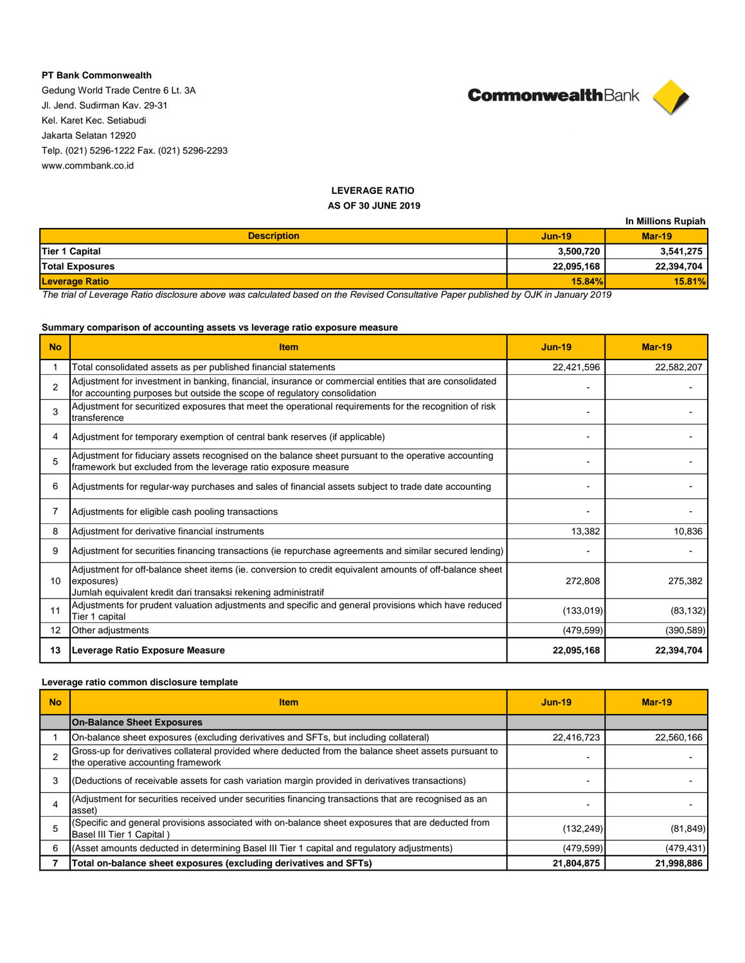## **PT Bank Commonwealth**

Gedung World Trade Centre 6 Lt. 3A Jl. Jend. Sudirman Kav. 29-31 Kel. Karet Kec. Setiabudi Jakarta Selatan 12920 Telp. (021) 5296-1222 Fax. (021) 5296-2293 www.commbank.co.id



# **LEVERAGE RATIO**

#### **AS OF 30 JUNE 2019**

|                        |            | In Millions Rupiah |
|------------------------|------------|--------------------|
| <b>Description</b>     | $Jun-19$   | $Mar-19$           |
| Tier 1 Capital         | 3,500,720  | 3,541,275          |
| <b>Total Exposures</b> | 22,095,168 | 22,394,704         |
| <b>Leverage Ratio</b>  | 15.84%     | 15.81%             |

*The trial of Leverage Ratio disclosure above was calculated based on the Revised Consultative Paper published by OJK in January 2019*

## **Summary comparison of accounting assets vs leverage ratio exposure measure**

| <b>No</b>       | <b>Item</b>                                                                                                                                                                              | <b>Jun-19</b> | <b>Mar-19</b> |
|-----------------|------------------------------------------------------------------------------------------------------------------------------------------------------------------------------------------|---------------|---------------|
|                 | Total consolidated assets as per published financial statements                                                                                                                          | 22,421,596    | 22,582,207    |
| $\overline{2}$  | Adjustment for investment in banking, financial, insurance or commercial entities that are consolidated<br>for accounting purposes but outside the scope of regulatory consolidation     |               |               |
| 3               | Adjustment for securitized exposures that meet the operational requirements for the recognition of risk<br>transference                                                                  |               |               |
| 4               | Adjustment for temporary exemption of central bank reserves (if applicable)                                                                                                              |               |               |
| 5               | Adjustment for fiduciary assets recognised on the balance sheet pursuant to the operative accounting<br>framework but excluded from the leverage ratio exposure measure                  |               |               |
| 6               | Adjustments for regular-way purchases and sales of financial assets subject to trade date accounting                                                                                     |               |               |
|                 | Adjustments for eligible cash pooling transactions                                                                                                                                       |               |               |
| 8               | Adjustment for derivative financial instruments                                                                                                                                          | 13,382        | 10.836        |
| 9               | Adjustment for securities financing transactions (ie repurchase agreements and similar secured lending)                                                                                  |               |               |
| 10 <sup>1</sup> | Adjustment for off-balance sheet items (ie. conversion to credit equivalent amounts of off-balance sheet<br>exposures)<br>Jumlah equivalent kredit dari transaksi rekening administratif | 272,808       | 275,382       |
| 11              | Adjustments for prudent valuation adjustments and specific and general provisions which have reduced<br>Tier 1 capital                                                                   | (133, 019)    | (83, 132)     |
| 12              | Other adjustments                                                                                                                                                                        | (479, 599)    | (390, 589)    |
| 13              | Leverage Ratio Exposure Measure                                                                                                                                                          | 22,095,168    | 22,394,704    |

## **Leverage ratio common disclosure template**

| <b>No</b> | <b>Item</b>                                                                                                                                 | <b>Jun-19</b> | $Mar-19$   |
|-----------|---------------------------------------------------------------------------------------------------------------------------------------------|---------------|------------|
|           | <b>On-Balance Sheet Exposures</b>                                                                                                           |               |            |
|           | On-balance sheet exposures (excluding derivatives and SFTs, but including collateral)                                                       | 22,416,723    | 22,560,166 |
|           | Gross-up for derivatives collateral provided where deducted from the balance sheet assets pursuant to<br>the operative accounting framework |               |            |
|           | (Deductions of receivable assets for cash variation margin provided in derivatives transactions)                                            |               |            |
|           | (Adjustment for securities received under securities financing transactions that are recognised as an<br>asset)                             |               |            |
|           | (Specific and general provisions associated with on-balance sheet exposures that are deducted from<br>Basel III Tier 1 Capital)             | (132, 249)    | (81, 849)  |
| 6         | (Asset amounts deducted in determining Basel III Tier 1 capital and regulatory adjustments)                                                 | (479, 599)    | (479, 431) |
|           | Total on-balance sheet exposures (excluding derivatives and SFTs)                                                                           | 21,804,875    | 21,998,886 |